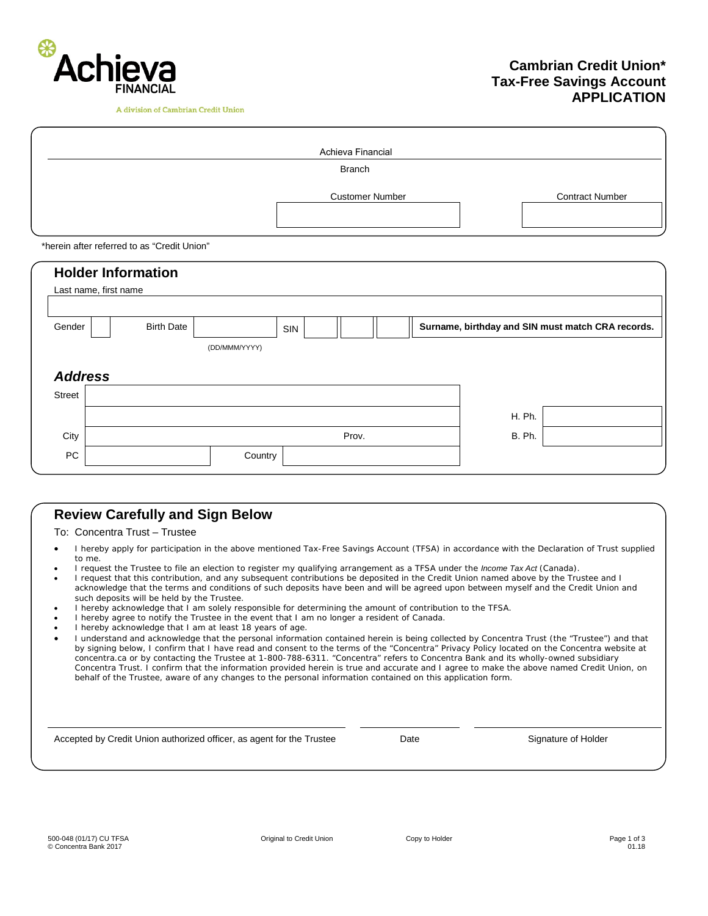

A division of Cambrian Credit Union

# **Cambrian Credit Union\* Tax-Free Savings Account APPLICATION**

|                                             | Achieva Financial |                   |               |     |                        |  |  |                                                   |  |  |  |
|---------------------------------------------|-------------------|-------------------|---------------|-----|------------------------|--|--|---------------------------------------------------|--|--|--|
|                                             | <b>Branch</b>     |                   |               |     |                        |  |  |                                                   |  |  |  |
|                                             |                   |                   |               |     | <b>Customer Number</b> |  |  | <b>Contract Number</b>                            |  |  |  |
| *herein after referred to as "Credit Union" |                   |                   |               |     |                        |  |  |                                                   |  |  |  |
| <b>Holder Information</b>                   |                   |                   |               |     |                        |  |  |                                                   |  |  |  |
| Last name, first name                       |                   |                   |               |     |                        |  |  |                                                   |  |  |  |
|                                             |                   |                   |               |     |                        |  |  |                                                   |  |  |  |
|                                             | Gender            | <b>Birth Date</b> |               | SIN |                        |  |  | Surname, birthday and SIN must match CRA records. |  |  |  |
|                                             |                   |                   | (DD/MMM/YYYY) |     |                        |  |  |                                                   |  |  |  |
|                                             |                   |                   |               |     |                        |  |  |                                                   |  |  |  |

| <b>Address</b> |  |         |       |               |  |
|----------------|--|---------|-------|---------------|--|
| Street         |  |         |       |               |  |
|                |  |         |       | H. Ph.        |  |
| City           |  |         | Prov. | <b>B. Ph.</b> |  |
| <b>PC</b>      |  | Country |       |               |  |

# **Review Carefully and Sign Below**

To: Concentra Trust – Trustee

- I hereby apply for participation in the above mentioned Tax-Free Savings Account (TFSA) in accordance with the Declaration of Trust supplied to me.
- I request the Trustee to file an election to register my qualifying arrangement as a TFSA under the *Income Tax Act* (Canada).
- I request that this contribution, and any subsequent contributions be deposited in the Credit Union named above by the Trustee and I acknowledge that the terms and conditions of such deposits have been and will be agreed upon between myself and the Credit Union and such deposits will be held by the Trustee.
- I hereby acknowledge that I am solely responsible for determining the amount of contribution to the TFSA.
- I hereby agree to notify the Trustee in the event that I am no longer a resident of Canada.
- I hereby acknowledge that I am at least 18 years of age.
- I understand and acknowledge that the personal information contained herein is being collected by Concentra Trust (the "Trustee") and that by signing below, I confirm that I have read and consent to the terms of the "Concentra" Privacy Policy located on the Concentra website at concentra.ca or by contacting the Trustee at 1-800-788-6311. "Concentra" refers to Concentra Bank and its wholly-owned subsidiary Concentra Trust. I confirm that the information provided herein is true and accurate and I agree to make the above named Credit Union, on behalf of the Trustee, aware of any changes to the personal information contained on this application form.

Accepted by Credit Union authorized officer, as agent for the Trustee Date Date Date Signature of Holder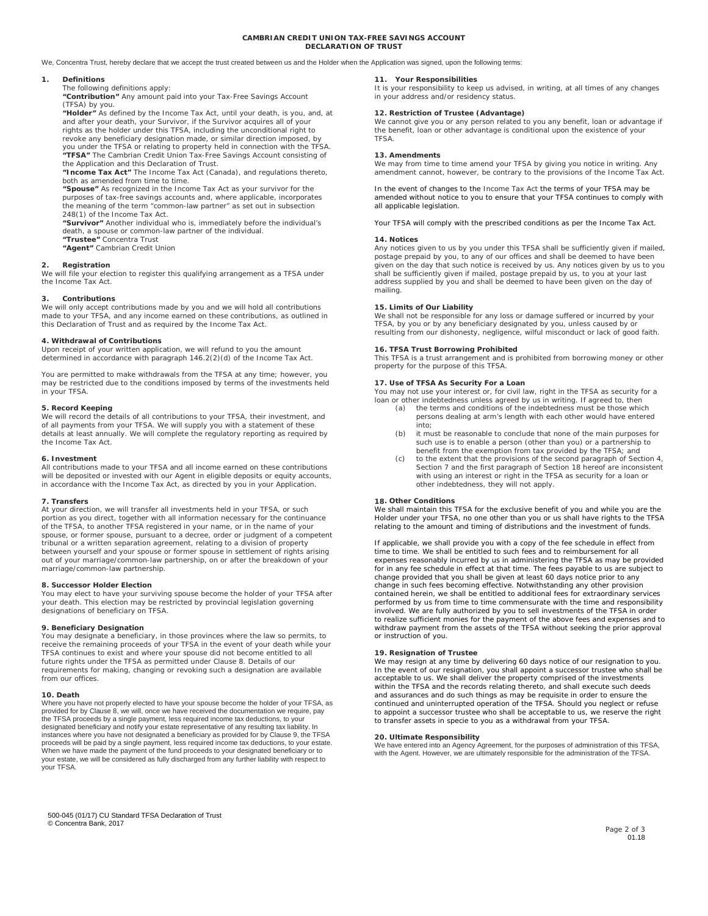### **CAMBRIAN CREDIT UNION TAX-FREE SAVINGS ACCOUNT DECLARATION OF TRUST**

We, Concentra Trust, hereby declare that we accept the trust created between us and the Holder when the Application was signed, upon the following terms:

# **1. Definitions**

The following definitions apply:

**"Contribution"** Any amount paid into your Tax-Free Savings Account

(TFSA) by you. **"Holder"** As defined by the *Income Tax Act,* until your death, is you, and, at and after your death, your Survivor, if the Survivor acquires all of your rights as the holder under this TFSA, including the unconditional right to revoke any beneficiary designation made, or similar direction imposed, by you under the TFSA or relating to property held in connection with the TFSA.

**"TFSA"** The Cambrian Credit Union Tax-Free Savings Account consisting of the Application and this Declaration of Trust.

**"Income Tax Act"** The *Income Tax Act* (Canada), and regulations thereto, both as amended from time to time.

**"Spouse"** As recognized in the *Income Tax Act* as your survivor for the purposes of tax-free savings accounts and, where applicable, incorporates the meaning of the term "common-law partner" as set out in subsection 248(1) of the *Income Tax Act*.

**"Survivor"** Another individual who is, immediately before the individual's death, a spouse or common-law partner of the individual.

**"Trustee"** Concentra Trust **"Agent"** Cambrian Credit Union

# **2. Registration**

We will file your election to register this qualifying arrangement as a TFSA under the *Income Tax Act*.

# **3. Contributions**

We will only accept contributions made by you and we will hold all contributions made to your TFSA, and any income earned on these contributions, as outlined in this Declaration of Trust and as required by the *Income Tax Act.* 

# **4. Withdrawal of Contributions**

Upon receipt of your written application, we will refund to you the amount determined in accordance with paragraph 146.2(2)(d) of the *Income Tax Act.* 

You are permitted to make withdrawals from the TFSA at any time; however, you may be restricted due to the conditions imposed by terms of the investments held in your TFSA.

# **5. Record Keeping**

We will record the details of all contributions to your TFSA, their investment, and<br>of all payments from your TFSA. We will supply you with a statement of these<br>details at least annually. We will complete the regulatory re the *Income Tax Act.* 

## **6. Investment**

All contributions made to your TFSA and all income earned on these contributions will be deposited or invested with our Agent in eligible deposits or equity accounts, in accordance with the *Income Tax Act,* as directed by you in your Application.

## **7. Transfers**

At your direction, we will transfer all investments held in your TFSA, or such portion as you direct, together with all information necessary for the continuance of the TFSA, to another TFSA registered in your name, or in the name of your spouse, or former spouse, pursuant to a decree, order or judgment of a competent tribunal or a written separation agreement, relating to a division of property between yourself and your spouse or former spouse in settlement of rights arising out of your marriage/common-law partnership, on or after the breakdown of your marriage/common-law partnership.

# **8. Successor Holder Election**

You may elect to have your surviving spouse become the holder of your TFSA after your death. This election may be restricted by provincial legislation governing designations of beneficiary on TFSA.

# **9. Beneficiary Designation**

You may designate a beneficiary, in those provinces where the law so permits, to receive the remaining proceeds of your TFSA in the event of your death while your TFSA continues to exist and where your spouse did not become entitled to all future rights under the TFSA as permitted under Clause 8. Details of our requirements for making, changing or revoking such a designation are available from our offices.

## **10. Death**

Where you have not properly elected to have your spouse become the holder of your TFSA, as provided for by Clause 8, we will, once we have received the documentation we require, pay the TFSA proceeds by a single payment, less required income tax deductions, to your designated beneficiary and notify your estate representative of any resulting tax liability. In instances where you have not designated a beneficiary as provided for by Clause 9, the TFSA proceeds will be paid by a single payment, less required income tax deductions, to your estate. When we have made the payment of the fund proceeds to your designated beneficiary or to your estate, we will be considered as fully discharged from any further liability with respect to your TFSA.

# **11. Your Responsibilities**

It is your responsibility to keep us advised, in writing, at all times of any changes in your address and/or residency status.

# **12. Restriction of Trustee (Advantage)**

We cannot give you or any person related to you any benefit, loan or advantage if the benefit, loan or other advantage is conditional upon the existence of your TFSA.

# **13. Amendments**

We may from time to time amend your TFSA by giving you notice in writing. Any amendment cannot, however, be contrary to the provisions of the *Income Tax Act*.

In the event of changes to the *Income Tax Act* the terms of your TFSA may be amended without notice to you to ensure that your TFSA continues to comply with all applicable legislation.

Your TFSA will comply with the prescribed conditions as per the *Income Tax Act.* 

# **14. Notices**

Any notices given to us by you under this TFSA shall be sufficiently given if mailed, postage prepaid by you, to any of our offices and shall be deemed to have been given on the day that such notice is received by us. Any notices given by us to you shall be sufficiently given if mailed, postage prepaid by us, to you at your last address supplied by you and shall be deemed to have been given on the day of mailing.

# **15. Limits of Our Liability**

We shall not be responsible for any loss or damage suffered or incurred by your<br>TFSA, by you or by any beneficiary designated by you, unless caused by or<br>resulting from our dishonesty, negligence, wilful misconduct or lack

# **16. TFSA Trust Borrowing Prohibited**

This TFSA is a trust arrangement and is prohibited from borrowing money or other property for the purpose of this TFSA.

**17. Use of TFSA As Security For a Loan** You may not use your interest or, for civil law, right in the TFSA as security for a loan or other indebtedness unless agreed by us in writing. If agreed to, then

- (a) the terms and conditions of the indebtedness must be those which persons dealing at arm's length with each other would have entered into;
- (b) it must be reasonable to conclude that none of the main purposes for such use is to enable a person (other than you) or a partnership to benefit from the exemption from tax provided by the TFSA; and
- (c) to the extent that the provisions of the second paragraph of Section 4, Section 7 and the first paragraph of Section 18 hereof are inconsistent with using an interest or right in the TFSA as security for a loan or other indebtedness, they will not apply.

# **18. Other Conditions**

We shall maintain this TFSA for the exclusive benefit of you and while you are the Holder under your TFSA, no one other than you or us shall have rights to the TFSA relating to the amount and timing of distributions and the investment of funds.

If applicable, we shall provide you with a copy of the fee schedule in effect from time to time. We shall be entitled to such fees and to reimbursement for all expenses reasonably incurred by us in administering the TFSA as may be provided for in any fee schedule in effect at that time. The fees payable to us are subject to change provided that you shall be given at least 60 days notice prior to any change in such fees becoming effective. Notwithstanding any other provision contained herein, we shall be entitled to additional fees for extraordinary services performed by us from time to time commensurate with the time and responsibility involved. We are fully authorized by you to sell investments of the TFSA in order to realize sufficient monies for the payment of the above fees and expenses and to withdraw payment from the assets of the TFSA without seeking the prior approval or instruction of you.

# **19. Resignation of Trustee**

We may resign at any time by delivering 60 days notice of our resignation to you.<br>In the event of our resignation, you shall appoint a successor trustee who shall be<br>acceptable to us. We shall deliver the property comprise within the TFSA and the records relating thereto, and shall execute such deeds and assurances and do such things as may be requisite in order to ensure the continued and uninterrupted operation of the TFSA. Should you neglect or refuse to appoint a successor trustee who shall be acceptable to us, we reserve the right to transfer assets in specie to you as a withdrawal from your TFSA.

**20. Ultimate Responsibility** We have entered into an Agency Agreement, for the purposes of administration of this TFSA, with the Agent. However, we are ultimately responsible for the administration of the TFSA.